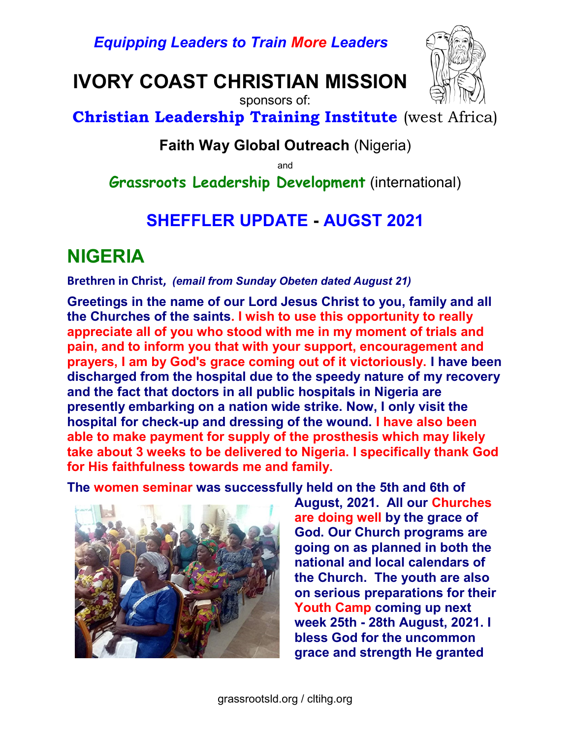Equipping Leaders to Train More Leaders

IVORY COAST CHRISTIAN MISSION



Christian Leadership Training Institute (west Africa)

sponsors of:

#### Faith Way Global Outreach (Nigeria)

and

Grassroots Leadership Development (international)

#### SHEFFLER UPDATE - AUGST 2021

# NIGERIA

Brethren in Christ, (email from Sunday Obeten dated August 21)

Greetings in the name of our Lord Jesus Christ to you, family and all the Churches of the saints. I wish to use this opportunity to really appreciate all of you who stood with me in my moment of trials and pain, and to inform you that with your support, encouragement and prayers, I am by God's grace coming out of it victoriously. I have been discharged from the hospital due to the speedy nature of my recovery and the fact that doctors in all public hospitals in Nigeria are presently embarking on a nation wide strike. Now, I only visit the hospital for check-up and dressing of the wound. I have also been able to make payment for supply of the prosthesis which may likely take about 3 weeks to be delivered to Nigeria. I specifically thank God for His faithfulness towards me and family.

The women seminar was successfully held on the 5th and 6th of



August, 2021. All our Churches are doing well by the grace of God. Our Church programs are going on as planned in both the national and local calendars of the Church. The youth are also on serious preparations for their Youth Camp coming up next week 25th - 28th August, 2021. I bless God for the uncommon grace and strength He granted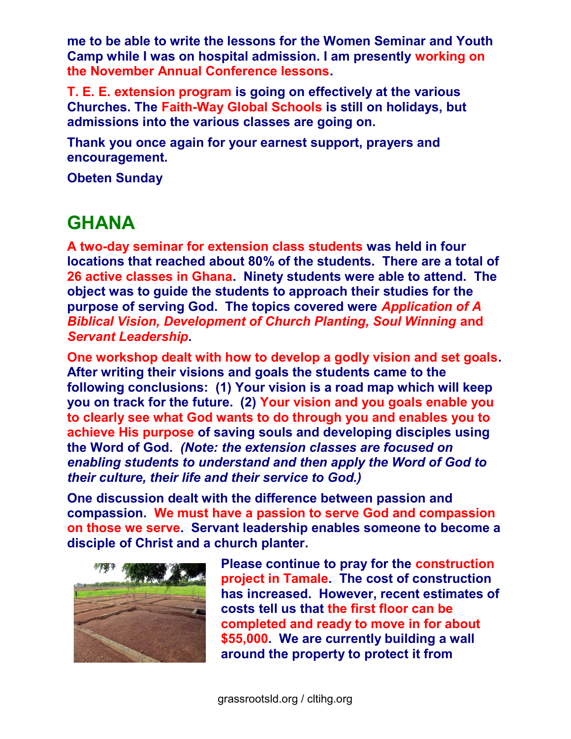me to be able to write the lessons for the Women Seminar and Youth Camp while I was on hospital admission. I am presently working on the November Annual Conference lessons.

T. E. E. extension program is going on effectively at the various Churches. The Faith-Way Global Schools is still on holidays, but admissions into the various classes are going on.

Thank you once again for your earnest support, prayers and encouragement.

Obeten Sunday

## **GHANA**

A two-day seminar for extension class students was held in four locations that reached about 80% of the students. There are a total of 26 active classes in Ghana. Ninety students were able to attend. The object was to guide the students to approach their studies for the purpose of serving God. The topics covered were Application of A Biblical Vision, Development of Church Planting, Soul Winning and Servant Leadership.

One workshop dealt with how to develop a godly vision and set goals. After writing their visions and goals the students came to the following conclusions: (1) Your vision is a road map which will keep you on track for the future. (2) Your vision and you goals enable you to clearly see what God wants to do through you and enables you to achieve His purpose of saving souls and developing disciples using the Word of God. (Note: the extension classes are focused on enabling students to understand and then apply the Word of God to their culture, their life and their service to God.)

One discussion dealt with the difference between passion and compassion. We must have a passion to serve God and compassion on those we serve. Servant leadership enables someone to become a disciple of Christ and a church planter.



Please continue to pray for the construction project in Tamale. The cost of construction has increased. However, recent estimates of costs tell us that the first floor can be completed and ready to move in for about \$55,000. We are currently building a wall around the property to protect it from